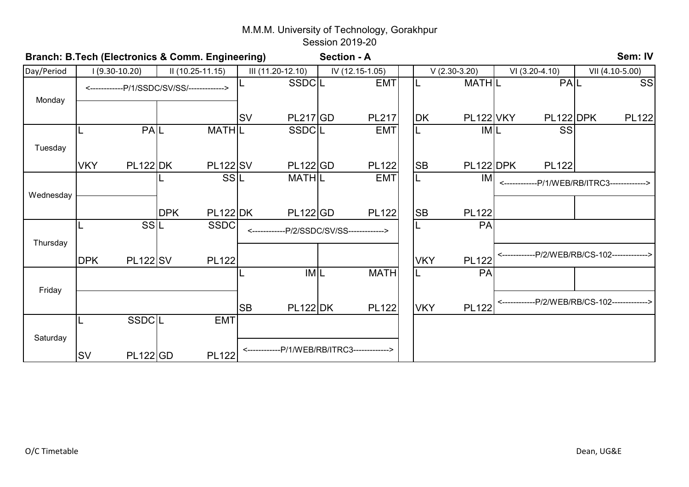| Branch: B.Tech (Electronics & Comm. Engineering) |                                            |                 |            |                   |           |                                              |                 | <b>Section - A</b>             |                |              |                                              |                 | Sem: IV      |
|--------------------------------------------------|--------------------------------------------|-----------------|------------|-------------------|-----------|----------------------------------------------|-----------------|--------------------------------|----------------|--------------|----------------------------------------------|-----------------|--------------|
| Day/Period                                       |                                            | $1(9.30-10.20)$ |            | II (10.25-11.15)  |           | III (11.20-12.10)                            | IV (12.15-1.05) |                                | $V(2.30-3.20)$ |              | VI (3.20-4.10)                               | VII (4.10-5.00) |              |
| Monday                                           | <------------P/1/SSDC/SV/SS/-------------> |                 |            | <b>SSDCL</b>      |           | <b>EMT</b>                                   | IL              | <b>MATHL</b>                   | PAL            |              | <b>SS</b>                                    |                 |              |
|                                                  |                                            |                 |            |                   | <b>SV</b> | PL217 GD                                     |                 | <b>PL217</b>                   | DK             | PL122 VKY    | PL122 DPK                                    |                 | <b>PL122</b> |
| Tuesday                                          |                                            | PAL             |            | MATH <sub>L</sub> |           | SSDCL                                        |                 | <b>EMT</b>                     | IL             | <b>IML</b>   | SS                                           |                 |              |
|                                                  | <b>VKY</b>                                 | <b>PL122 DK</b> |            | <b>PL122 SV</b>   |           | PL122 GD                                     |                 | <b>PL122</b>                   | <b>SB</b>      | PL122 DPK    | <b>PL122</b>                                 |                 |              |
| Wednesday                                        |                                            |                 |            | SSL               |           | <b>MATHIL</b>                                |                 | <b>EMT</b>                     | IL             | IM           | <------------P/1/WEB/RB/ITRC3------------>   |                 |              |
|                                                  |                                            |                 | <b>DPK</b> | <b>PL122 DK</b>   |           | PL122 GD                                     |                 | <b>PL122</b>                   | <b>SB</b>      | <b>PL122</b> |                                              |                 |              |
| Thursday                                         |                                            | SSL             |            | <b>SSDC</b>       |           |                                              |                 | --P/2/SSDC/SV/SS-------------> |                | PA           |                                              |                 |              |
|                                                  | <b>DPK</b>                                 | <b>PL122 SV</b> |            | <b>PL122</b>      |           |                                              |                 |                                | <b>VKY</b>     | <b>PL122</b> | ------------P/2/WEB/RB/CS-102------------->  |                 |              |
| Friday                                           |                                            |                 |            |                   |           | <b>IML</b>                                   |                 | <b>MATH</b>                    | IL             | PA           |                                              |                 |              |
|                                                  |                                            |                 |            |                   | <b>SB</b> | <b>PL122 DK</b>                              |                 | <b>PL122</b>                   | <b>VKY</b>     | <b>PL122</b> | <------------P/2/WEB/RB/CS-102-------------> |                 |              |
|                                                  |                                            | <b>SSDCL</b>    |            | <b>EMT</b>        |           |                                              |                 |                                |                |              |                                              |                 |              |
| Saturday                                         | <b>SV</b>                                  | <b>PL122 GD</b> |            | <b>PL122</b>      |           | <-------------P/1/WEB/RB/ITRC3-------------> |                 |                                |                |              |                                              |                 |              |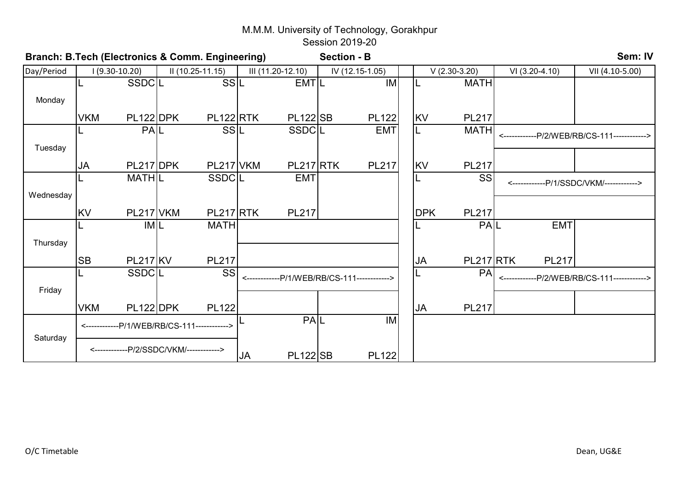| Branch: B.Tech (Electronics & Comm. Engineering) |                                             |                                         |  |                   |           | <b>Section - B</b> |  |                                             |  |            |                | Sem: IV          |              |                                              |  |  |
|--------------------------------------------------|---------------------------------------------|-----------------------------------------|--|-------------------|-----------|--------------------|--|---------------------------------------------|--|------------|----------------|------------------|--------------|----------------------------------------------|--|--|
| Day/Period                                       |                                             | $1(9.30-10.20)$                         |  | $II(10.25-11.15)$ |           | III (11.20-12.10)  |  | IV (12.15-1.05)                             |  |            | $V(2.30-3.20)$ | $VI (3.20-4.10)$ |              | VII (4.10-5.00)                              |  |  |
|                                                  |                                             | <b>SSDCL</b>                            |  | SSIL              |           | <b>EMTIL</b>       |  | IM                                          |  |            | <b>MATH</b>    |                  |              |                                              |  |  |
| Monday                                           |                                             |                                         |  |                   |           |                    |  |                                             |  |            |                |                  |              |                                              |  |  |
|                                                  | <b>VKM</b>                                  | PL122 DPK                               |  | PL122RTK          |           | <b>PL122</b> SB    |  | <b>PL122</b>                                |  | KV         | <b>PL217</b>   |                  |              |                                              |  |  |
|                                                  |                                             | PAL                                     |  | SSIL              |           | SSDCL              |  | <b>EMT</b>                                  |  | L          | <b>MATH</b>    |                  |              | <------------P/2/WEB/RB/CS-111------------>  |  |  |
| Tuesday                                          |                                             |                                         |  |                   |           |                    |  |                                             |  |            |                |                  |              |                                              |  |  |
|                                                  | <b>JA</b>                                   | PL217 DPK                               |  | PL217 VKM         |           | PL217 RTK          |  | <b>PL217</b>                                |  | <b>KV</b>  | <b>PL217</b>   |                  |              |                                              |  |  |
|                                                  |                                             | <b>MATHIL</b>                           |  | SSDCL             |           | <b>EMT</b>         |  |                                             |  | L          | SS             |                  |              | <------------P/1/SSDC/VKM/------------>      |  |  |
| Wednesday                                        |                                             |                                         |  |                   |           |                    |  |                                             |  |            |                |                  |              |                                              |  |  |
|                                                  | <b>KV</b>                                   | PL217 VKM                               |  | PL217 RTK         |           | <b>PL217</b>       |  |                                             |  | <b>DPK</b> | <b>PL217</b>   |                  |              |                                              |  |  |
|                                                  |                                             | <b>IML</b>                              |  | <b>MATH</b>       |           |                    |  |                                             |  | IL         | PAL            |                  | <b>EMT</b>   |                                              |  |  |
| Thursday                                         |                                             |                                         |  |                   |           |                    |  |                                             |  |            |                |                  |              |                                              |  |  |
|                                                  | <b>SB</b>                                   | <b>PL217 KV</b>                         |  | <b>PL217</b>      |           |                    |  |                                             |  | <b>JA</b>  | PL217 RTK      |                  | <b>PL217</b> |                                              |  |  |
|                                                  |                                             | SSDCL                                   |  | SS                |           |                    |  | <------------P/1/WEB/RB/CS-111------------> |  |            | PA             |                  |              | <-------------P/2/WEB/RB/CS-111------------> |  |  |
| Friday                                           |                                             |                                         |  |                   |           |                    |  |                                             |  |            |                |                  |              |                                              |  |  |
|                                                  | <b>VKM</b>                                  | PL122 DPK                               |  | <b>PL122</b>      |           |                    |  |                                             |  | <b>JA</b>  | <b>PL217</b>   |                  |              |                                              |  |  |
|                                                  | <------------P/1/WEB/RB/CS-111------------> |                                         |  |                   |           | PAL                |  | IM                                          |  |            |                |                  |              |                                              |  |  |
| Saturday                                         |                                             | <------------P/2/SSDC/VKM/------------> |  |                   | <b>JA</b> | <b>PL122</b> SB    |  | <b>PL122</b>                                |  |            |                |                  |              |                                              |  |  |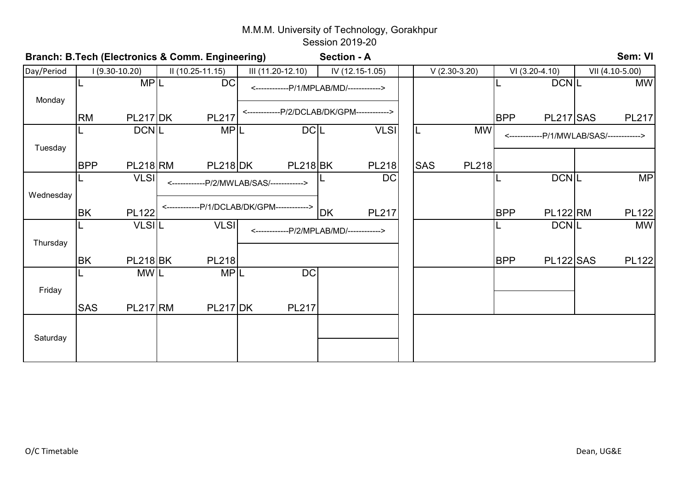| Branch: B.Tech (Electronics & Comm. Engineering) |            |                 |                  |                                             | <b>Section - A</b> |           |                                   |  |                            |            |                  | Sem: VI |                             |  |
|--------------------------------------------------|------------|-----------------|------------------|---------------------------------------------|--------------------|-----------|-----------------------------------|--|----------------------------|------------|------------------|---------|-----------------------------|--|
| Day/Period                                       |            | $1(9.30-10.20)$ | II (10.25-11.15) | III (11.20-12.10)                           |                    |           | IV (12.15-1.05)<br>$V(2.30-3.20)$ |  |                            |            | VI (3.20-4.10)   |         | VII (4.10-5.00)             |  |
|                                                  |            | <b>MPL</b>      | <b>DC</b>        | <------------P/1/MPLAB/MD/------------>     |                    |           |                                   |  |                            |            | <b>DCNIL</b>     |         | <b>MW</b>                   |  |
| Monday                                           |            |                 |                  |                                             |                    |           |                                   |  |                            |            |                  |         |                             |  |
|                                                  | <b>RM</b>  | <b>PL217 DK</b> | <b>PL217</b>     | <-------------P/2/DCLAB/DK/GPM------------> |                    |           |                                   |  |                            | <b>BPP</b> | PL217 SAS        |         | <b>PL217</b>                |  |
|                                                  |            | <b>DCNL</b>     | <b>MPL</b>       |                                             | <b>DCL</b>         |           | <b>VLSI</b>                       |  | <b>MW</b><br>IL            |            |                  |         | -P/1/MWLAB/SAS/-----------> |  |
| Tuesday                                          |            |                 |                  |                                             |                    |           |                                   |  |                            |            |                  |         |                             |  |
|                                                  | <b>BPP</b> | <b>PL218 RM</b> | $PL218$ DK       |                                             | <b>PL218 BK</b>    |           | <b>PL218</b>                      |  | <b>SAS</b><br><b>PL218</b> |            |                  |         |                             |  |
|                                                  |            | <b>VLSI</b>     |                  | <------------P/2/MWLAB/SAS/------------>    |                    |           | <b>DC</b>                         |  |                            |            | <b>DCNL</b>      |         | MP                          |  |
| Wednesday                                        |            |                 |                  |                                             |                    |           |                                   |  |                            |            |                  |         |                             |  |
|                                                  | <b>BK</b>  | <b>PL122</b>    |                  | <------------P/1/DCLAB/DK/GPM------------>  |                    | <b>DK</b> | <b>PL217</b>                      |  |                            | <b>BPP</b> | <b>PL122 RM</b>  |         | <b>PL122</b>                |  |
|                                                  |            | <b>VLSIL</b>    | <b>VLSI</b>      | <------------P/2/MPLAB/MD/------------>     |                    |           |                                   |  |                            |            | <b>DCNL</b>      |         | <b>MW</b>                   |  |
| Thursday                                         |            |                 |                  |                                             |                    |           |                                   |  |                            |            |                  |         |                             |  |
|                                                  | <b>BK</b>  | <b>PL218 BK</b> | <b>PL218</b>     |                                             |                    |           |                                   |  |                            | <b>BPP</b> | <b>PL122</b> SAS |         | <b>PL122</b>                |  |
|                                                  |            | MW <sub>L</sub> | <b>MPL</b>       |                                             | DC                 |           |                                   |  |                            |            |                  |         |                             |  |
| Friday                                           |            |                 |                  |                                             |                    |           |                                   |  |                            |            |                  |         |                             |  |
|                                                  | <b>SAS</b> | <b>PL217 RM</b> | <b>PL217 DK</b>  |                                             | <b>PL217</b>       |           |                                   |  |                            |            |                  |         |                             |  |
|                                                  |            |                 |                  |                                             |                    |           |                                   |  |                            |            |                  |         |                             |  |
| Saturday                                         |            |                 |                  |                                             |                    |           |                                   |  |                            |            |                  |         |                             |  |
|                                                  |            |                 |                  |                                             |                    |           |                                   |  |                            |            |                  |         |                             |  |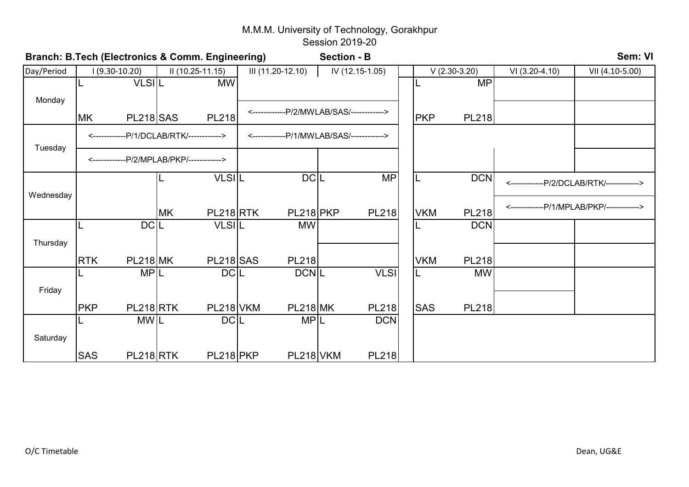|            | Branch: B.Tech (Electronics & Comm. Engineering) |                                          |           |                  |                   |                 |                                           |                 | Sem: VI<br><b>Section - B</b> |            |                |                  |                                          |  |  |  |  |  |
|------------|--------------------------------------------------|------------------------------------------|-----------|------------------|-------------------|-----------------|-------------------------------------------|-----------------|-------------------------------|------------|----------------|------------------|------------------------------------------|--|--|--|--|--|
| Day/Period |                                                  | $(9.30 - 10.20)$                         |           | II (10.25-11.15) | III (11.20-12.10) |                 |                                           | IV (12.15-1.05) |                               |            | $V(2.30-3.20)$ | $VI (3.20-4.10)$ | VII (4.10-5.00)                          |  |  |  |  |  |
|            |                                                  | <b>VLSIL</b>                             |           | <b>MW</b>        |                   |                 |                                           |                 |                               | IL         | <b>MP</b>      |                  |                                          |  |  |  |  |  |
| Monday     |                                                  |                                          |           |                  |                   |                 |                                           |                 |                               |            |                |                  |                                          |  |  |  |  |  |
|            | MK                                               | <b>PL218</b> SAS                         |           | <b>PL218</b>     |                   |                 | <-------------P/2/MWLAB/SAS/------------> |                 |                               | <b>PKP</b> | <b>PL218</b>   |                  |                                          |  |  |  |  |  |
|            |                                                  | <------------P/1/DCLAB/RTK/------------> |           |                  |                   |                 | <------------P/1/MWLAB/SAS/------------>  |                 |                               |            |                |                  |                                          |  |  |  |  |  |
| Tuesday    |                                                  | <------------P/2/MPLAB/PKP/------------> |           |                  |                   |                 |                                           |                 |                               |            |                |                  |                                          |  |  |  |  |  |
|            |                                                  |                                          |           | <b>VLSIL</b>     |                   | <b>DCL</b>      |                                           | <b>MP</b>       |                               | IL         | <b>DCN</b>     |                  | <------------P/2/DCLAB/RTK/------------> |  |  |  |  |  |
| Wednesday  |                                                  |                                          |           |                  |                   |                 |                                           |                 |                               |            |                |                  |                                          |  |  |  |  |  |
|            |                                                  |                                          | <b>MK</b> | PL218RTK         |                   | PL218 PKP       |                                           | <b>PL218</b>    |                               | <b>VKM</b> | <b>PL218</b>   |                  | <------------P/1/MPLAB/PKP/------------> |  |  |  |  |  |
|            |                                                  | <b>DCL</b>                               |           | <b>VLSIL</b>     |                   | <b>MW</b>       |                                           |                 |                               | L          | <b>DCN</b>     |                  |                                          |  |  |  |  |  |
| Thursday   |                                                  |                                          |           |                  |                   |                 |                                           |                 |                               |            |                |                  |                                          |  |  |  |  |  |
|            | <b>RTK</b>                                       | <b>PL218 MK</b>                          |           | <b>PL218</b> SAS |                   | <b>PL218</b>    |                                           |                 |                               | <b>VKM</b> | <b>PL218</b>   |                  |                                          |  |  |  |  |  |
|            |                                                  | <b>MPL</b>                               |           | DC <sub>L</sub>  |                   | <b>DCNL</b>     |                                           | <b>VLSI</b>     |                               | IL.        | <b>MW</b>      |                  |                                          |  |  |  |  |  |
| Friday     |                                                  |                                          |           |                  |                   |                 |                                           |                 |                               |            |                |                  |                                          |  |  |  |  |  |
|            | <b>PKP</b>                                       | PL218RTK                                 |           | PL218 VKM        |                   | <b>PL218 MK</b> |                                           | <b>PL218</b>    |                               | <b>SAS</b> | <b>PL218</b>   |                  |                                          |  |  |  |  |  |
|            |                                                  | <b>MWIL</b>                              |           | <b>DCL</b>       |                   | <b>MPL</b>      |                                           | <b>DCN</b>      |                               |            |                |                  |                                          |  |  |  |  |  |
| Saturday   |                                                  |                                          |           |                  |                   |                 |                                           |                 |                               |            |                |                  |                                          |  |  |  |  |  |
|            | <b>SAS</b>                                       | PL218RTK                                 |           | PL218 PKP        |                   | PL218 VKM       |                                           | <b>PL218</b>    |                               |            |                |                  |                                          |  |  |  |  |  |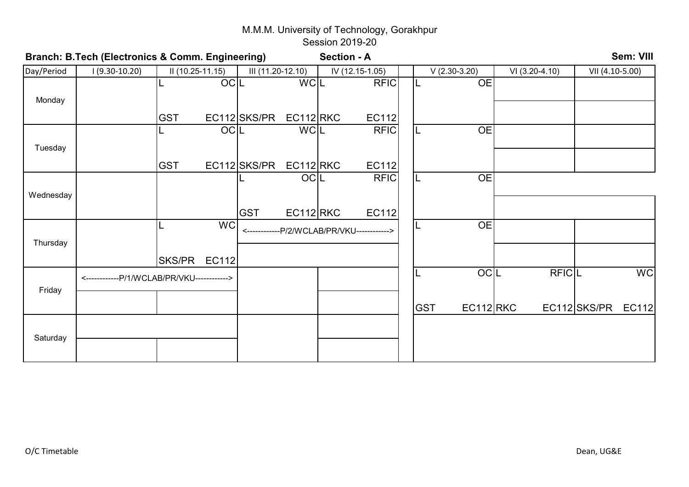|            | Branch: B.Tech (Electronics & Comm. Engineering) |                   |            |                   |             | <b>Section - A</b> |                                            |            |                |                |                 | Sem: VIII    |
|------------|--------------------------------------------------|-------------------|------------|-------------------|-------------|--------------------|--------------------------------------------|------------|----------------|----------------|-----------------|--------------|
| Day/Period | $1(9.30-10.20)$                                  | $II(10.25-11.15)$ |            | III (11.20-12.10) |             |                    | IV (12.15-1.05)                            |            | $V(2.30-3.20)$ | VI (3.20-4.10) | VII (4.10-5.00) |              |
|            |                                                  |                   | <b>OCL</b> |                   | <b>WCL</b>  |                    | <b>RFIC</b>                                |            | <b>OE</b>      |                |                 |              |
| Monday     |                                                  |                   |            |                   |             |                    |                                            |            |                |                |                 |              |
|            |                                                  | <b>GST</b>        |            | EC112 SKS/PR      | $EC112$ RKC |                    | <b>EC112</b>                               |            |                |                |                 |              |
|            |                                                  |                   | <b>OCL</b> |                   | <b>WCL</b>  |                    | <b>RFIC</b>                                |            | <b>OE</b>      |                |                 |              |
| Tuesday    |                                                  |                   |            |                   |             |                    |                                            |            |                |                |                 |              |
|            |                                                  | <b>GST</b>        |            | EC112 SKS/PR      | $EC112$ RKC |                    | <b>EC112</b>                               |            |                |                |                 |              |
|            |                                                  |                   |            |                   | OCIL        |                    | <b>RFIC</b>                                | IL         | <b>OE</b>      |                |                 |              |
| Wednesday  |                                                  |                   |            |                   |             |                    |                                            |            |                |                |                 |              |
|            |                                                  |                   |            | <b>GST</b>        | $EC112$ RKC |                    | <b>EC112</b>                               |            |                |                |                 |              |
|            |                                                  |                   | <b>WC</b>  |                   |             |                    | <------------P/2/WCLAB/PR/VKU------------> |            | <b>OE</b>      |                |                 |              |
| Thursday   |                                                  |                   |            |                   |             |                    |                                            |            |                |                |                 |              |
|            |                                                  | SKS/PR EC112      |            |                   |             |                    |                                            |            |                |                |                 |              |
|            | <------------P/1/WCLAB/PR/VKU------------>       |                   |            |                   |             |                    |                                            |            | OCIL           | <b>RFICL</b>   |                 | <b>WC</b>    |
| Friday     |                                                  |                   |            |                   |             |                    |                                            |            |                |                |                 |              |
|            |                                                  |                   |            |                   |             |                    |                                            | <b>GST</b> | $EC112$ RKC    |                | EC112 SKS/PR    | <b>EC112</b> |
|            |                                                  |                   |            |                   |             |                    |                                            |            |                |                |                 |              |
| Saturday   |                                                  |                   |            |                   |             |                    |                                            |            |                |                |                 |              |
|            |                                                  |                   |            |                   |             |                    |                                            |            |                |                |                 |              |